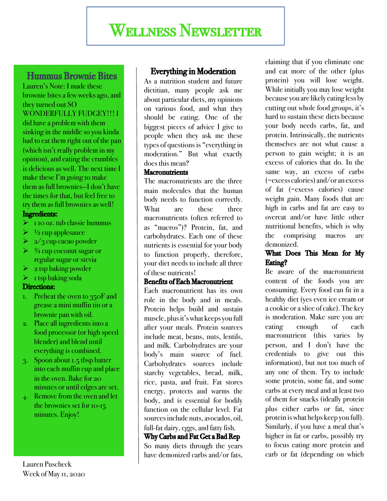## Wellness Newsletter

# **Hummus Brownie Bites**<br>Lauren's Note: I made these

brownie bites a few weeks ago, and they turned out SO WONDERFULLY FUDGEY!!! I did have a problem with them sinking in the middle so you kinda had to eat them right out of the pan (which isn't really problem in my opinion), and eating the crumbles is delicious as well. The next time I make these I'm going to make them as full brownies—I don't have the times for that, but feel free to try them as full brownies as well!

#### Ingredients:

- $\triangleright$  1 10 oz. tub classic hummus
- $\triangleright$   $\frac{1}{2}$  cup applesauce
- $\geq 2/3$  cup cacao powder
- $\geq$  3/4 cup coconut sugar or regular sugar or stevia
- $\geq 2$  tsp baking powder
- $\blacktriangleright$  1 tsp baking soda

#### Directions:

- 1. Preheat the oven to 350F and grease a mini muffin tin or a brownie pan with oil.
- 2. Place all ingredients into a food processor (or high speed blender) and blend until everything is combined.
- 3. Spoon about 1.5 tbsp batter into each muffin cup and place in the oven. Bake for 20 minutes or until edges are set.
- 4. Remove from the oven and let the brownies set for 10-15 minutes. Enjoy!

Lauren Puscheck Week of May 11, 2020

### Everything in Moderation

As a nutrition student and future dietitian, many people ask me about particular diets, my opinions on various food, and what they should be eating. One of the biggest pieces of advice I give to people when they ask me these types of questions is "everything in moderation." But what exactly does this mean?

#### **Macronutrients**

The macronutrients are the three main molecules that the human body needs to function correctly. What are these three macronutrients (often referred to as "macros")? Protein, fat, and carbohydrates. Each one of these nutrients is essential for your body to function properly, therefore, your diet needs to include all three of these nutrients!

#### Benefits of Each Macronutrient

Each macronutrient has its own role in the body and in meals. Protein helps build and sustain muscle, plus it's what keeps you full after your meals. Protein sources include meat, beans, nuts, lentils, and milk. Carbohydrates are your body's main source of fuel. Carbohydrates sources include starchy vegetables, bread, milk, rice, pasta, and fruit. Fat stores energy, protects and warms the body, and is essential for bodily function on the cellular level. Fat sourcesinclude nuts, avocados, oil, full-fat dairy, eggs, and fatty fish.

#### Why Carbs and Fat Get a Bad Rep

So many diets through the years have demonized carbs and/or fats,

claiming that if you eliminate one and eat more of the other (plus protein) you will lose weight. While initially you may lose weight because you are likely eating less by cutting out whole food groups, it's hard to sustain these diets because your body needs carbs, fat, and protein. Intrinsically, the nutrients themselves are not what cause a person to gain weight; it is an excess of calories that do. In the same way, an excess of carbs (=excess calories) and/or an excess of fat (=excess calories) cause weight gain. Many foods that are high in carbs and fat are easy to overeat and/or have little other nutritional benefits, which is why the comprising macros are demonized.

#### What Does This Mean for My Eating?

Be aware of the macronutrient content of the foods you are consuming. Every food can fit in a healthy diet (yes even ice cream or a cookie or a slice of cake). The key is moderation. Make sure you are eating enough of each macronutrient (this varies by person, and I don't have the credentials to give out this information), but not too much of any one of them. Try to include some protein, some fat, and some carbs at every meal and at least two of them for snacks (ideally protein plus either carbs or fat, since protein is what helps keep you full). Similarly, if you have a meal that's higher in fat or carbs, possibly try to focus eating more protein and carb or fat (depending on which